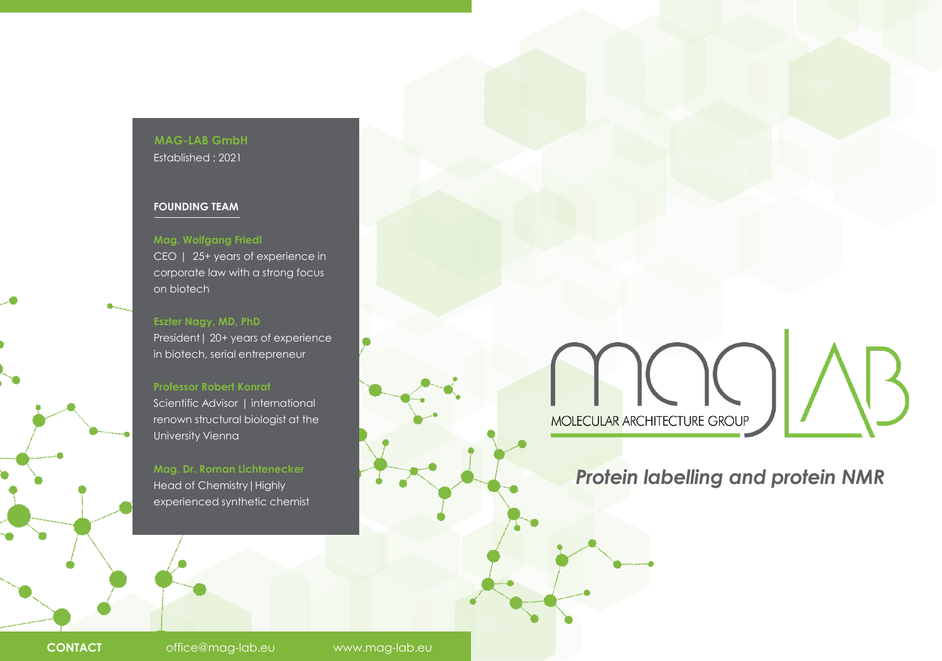### **MAG-LAB GmbH** Established : 2021

#### **FOUNDING TEAM**

### **Mag. Wolfgang Friedl** CEO | 25+ years of experience in corporate law with a strong focus on biotech

**Eszter Nagy, MD, PhD** President | 20+ years of experience in biotech, serial entrepreneur

### **Professor Robert Konrat**

Scientific Advisor | international renown structural biologist at the University Vienna

**Mag. Dr. Roman Lichtenecker** Head of Chemistry|Highly experienced synthetic chemist

IC MOLECULAR ARCHITECTURE GROUP

# *Protein labelling and protein NMR*

**CONTACT** office@mag-lab.eu www.mag-lab.eu